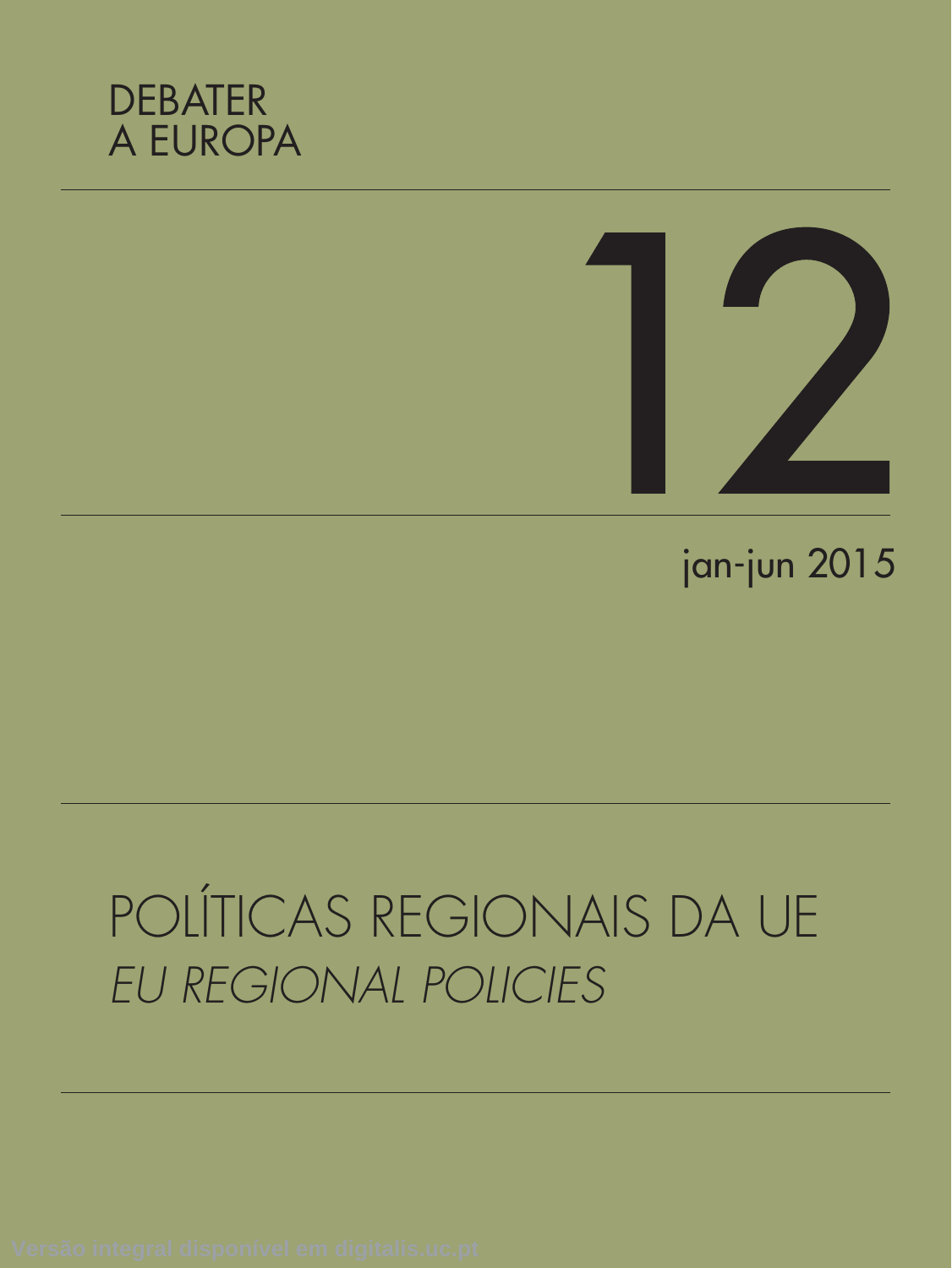



## jan-jun 2015

# POLÍTICAS REGIONAIS DA UE *EU REGIONAL POLICIES*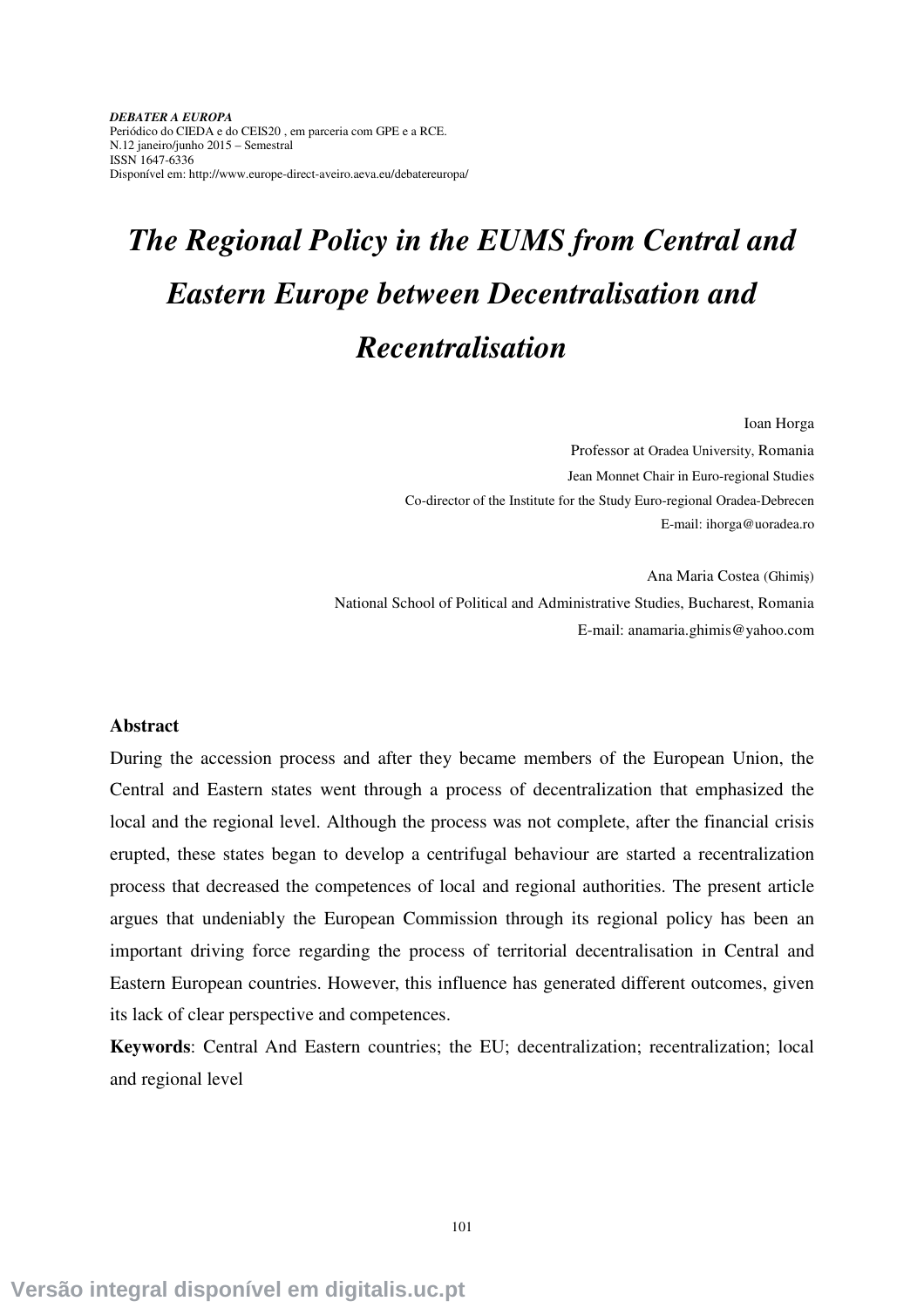*DEBATER A EUROPA*  Periódico do CIEDA e do CEIS20 , em parceria com GPE e a RCE. N.12 janeiro/junho 2015 – Semestral ISSN 1647-6336 Disponível em: http://www.europe-direct-aveiro.aeva.eu/debatereuropa/

### *The Regional Policy in the EUMS from Central and Eastern Europe between Decentralisation and Recentralisation*

Ioan Horga

Professor at Oradea University, Romania Jean Monnet Chair in Euro-regional Studies Co-director of the Institute for the Study Euro-regional Oradea-Debrecen E-mail: ihorga@uoradea.ro

Ana Maria Costea (Ghimiş) National School of Political and Administrative Studies, Bucharest, Romania E-mail: anamaria.ghimis@yahoo.com

### **Abstract**

During the accession process and after they became members of the European Union, the Central and Eastern states went through a process of decentralization that emphasized the local and the regional level. Although the process was not complete, after the financial crisis erupted, these states began to develop a centrifugal behaviour are started a recentralization process that decreased the competences of local and regional authorities. The present article argues that undeniably the European Commission through its regional policy has been an important driving force regarding the process of territorial decentralisation in Central and Eastern European countries. However, this influence has generated different outcomes, given its lack of clear perspective and competences.

**Keywords**: Central And Eastern countries; the EU; decentralization; recentralization; local and regional level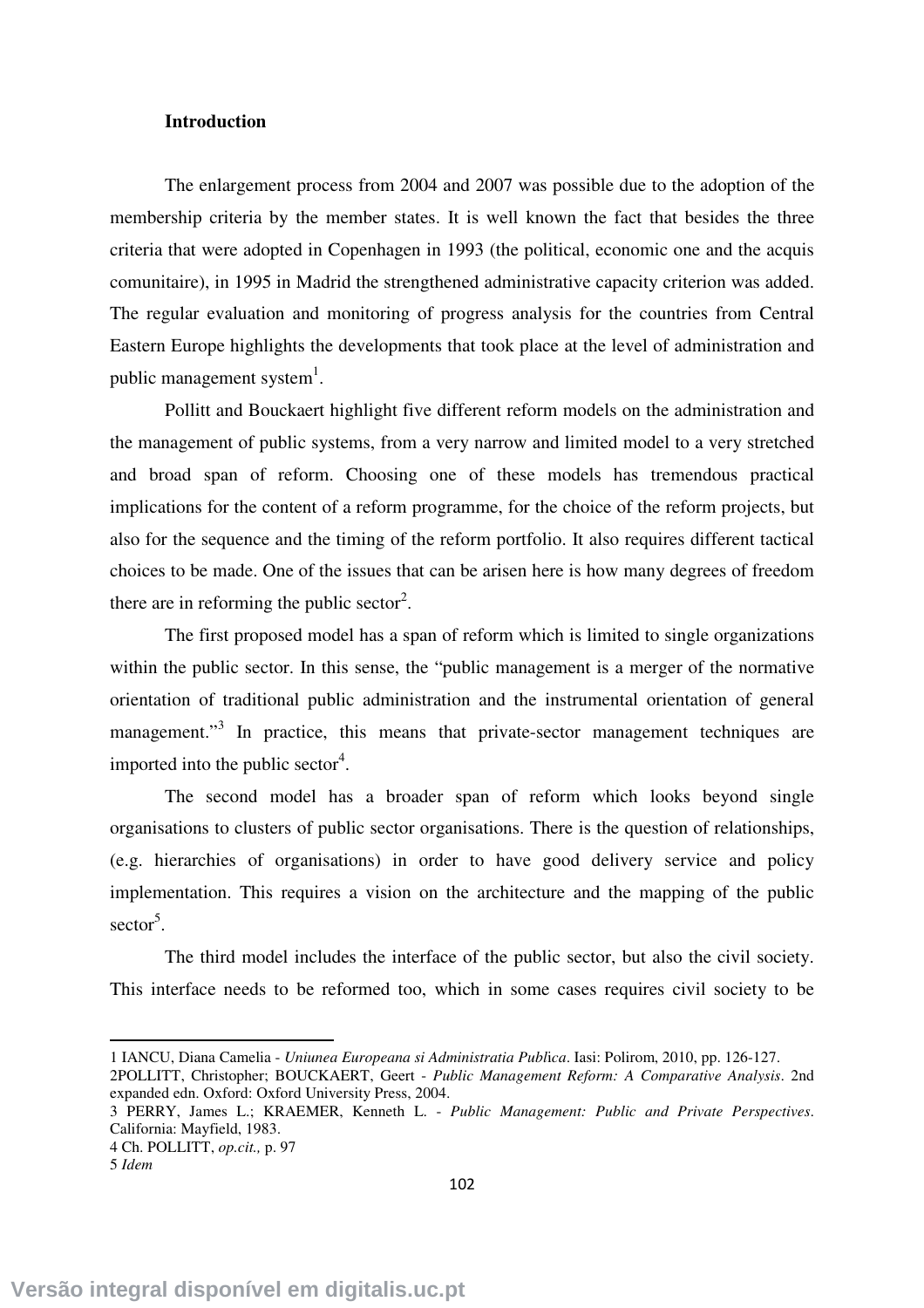### **Introduction**

The enlargement process from 2004 and 2007 was possible due to the adoption of the membership criteria by the member states. It is well known the fact that besides the three criteria that were adopted in Copenhagen in 1993 (the political, economic one and the acquis comunitaire), in 1995 in Madrid the strengthened administrative capacity criterion was added. The regular evaluation and monitoring of progress analysis for the countries from Central Eastern Europe highlights the developments that took place at the level of administration and public management system $^{1}$ .

Pollitt and Bouckaert highlight five different reform models on the administration and the management of public systems, from a very narrow and limited model to a very stretched and broad span of reform. Choosing one of these models has tremendous practical implications for the content of a reform programme, for the choice of the reform projects, but also for the sequence and the timing of the reform portfolio. It also requires different tactical choices to be made. One of the issues that can be arisen here is how many degrees of freedom there are in reforming the public sector<sup>2</sup>.

 The first proposed model has a span of reform which is limited to single organizations within the public sector. In this sense, the "public management is a merger of the normative orientation of traditional public administration and the instrumental orientation of general management."<sup>3</sup> In practice, this means that private-sector management techniques are imported into the public sector<sup>4</sup>.

 The second model has a broader span of reform which looks beyond single organisations to clusters of public sector organisations. There is the question of relationships, (e.g. hierarchies of organisations) in order to have good delivery service and policy implementation. This requires a vision on the architecture and the mapping of the public sector<sup>5</sup>.

 The third model includes the interface of the public sector, but also the civil society. This interface needs to be reformed too, which in some cases requires civil society to be

 $\overline{a}$ 

<sup>1</sup> IANCU, Diana Camelia - *Uniunea Europeana si Administratia Publ*i*ca*. Iasi: Polirom, 2010, pp. 126-127.

<sup>2</sup>POLLITT, Christopher; BOUCKAERT, Geert - *Public Management Reform: A Comparative Analysis*. 2nd expanded edn. Oxford: Oxford University Press, 2004.

<sup>3</sup> PERRY, James L.; KRAEMER, Kenneth L. - *Public Management: Public and Private Perspectives*. California: Mayfield, 1983.

<sup>4</sup> Ch. POLLITT, *op.cit.,* p. 97 5 *Idem*